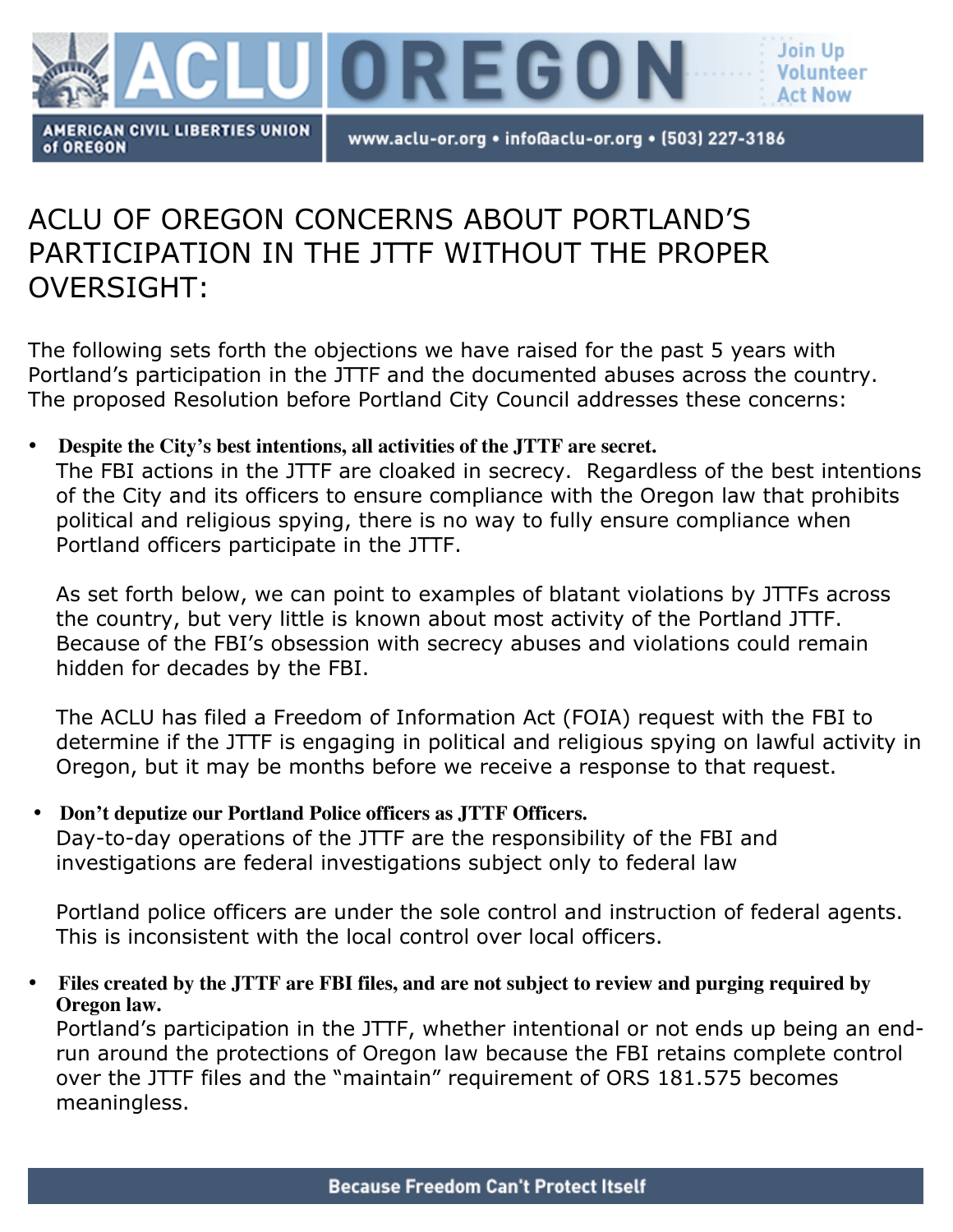

www.aclu-or.org • info@aclu-or.org • (503) 227-3186

# ACLU OF OREGON CONCERNS ABOUT PORTLAND'S PARTICIPATION IN THE JTTF WITHOUT THE PROPER OVERSIGHT:

The following sets forth the objections we have raised for the past 5 years with Portland's participation in the JTTF and the documented abuses across the country. The proposed Resolution before Portland City Council addresses these concerns:

## • **Despite the City's best intentions, all activities of the JTTF are secret.**

The FBI actions in the JTTF are cloaked in secrecy. Regardless of the best intentions of the City and its officers to ensure compliance with the Oregon law that prohibits political and religious spying, there is no way to fully ensure compliance when Portland officers participate in the JTTF.

As set forth below, we can point to examples of blatant violations by JTTFs across the country, but very little is known about most activity of the Portland JTTF. Because of the FBI's obsession with secrecy abuses and violations could remain hidden for decades by the FBI.

The ACLU has filed a Freedom of Information Act (FOIA) request with the FBI to determine if the JTTF is engaging in political and religious spying on lawful activity in Oregon, but it may be months before we receive a response to that request.

## • **Don't deputize our Portland Police officers as JTTF Officers.** Day-to-day operations of the JTTF are the responsibility of the FBI and investigations are federal investigations subject only to federal law

Portland police officers are under the sole control and instruction of federal agents. This is inconsistent with the local control over local officers.

• **Files created by the JTTF are FBI files, and are not subject to review and purging required by Oregon law.**

Portland's participation in the JTTF, whether intentional or not ends up being an endrun around the protections of Oregon law because the FBI retains complete control over the JTTF files and the "maintain" requirement of ORS 181.575 becomes meaningless.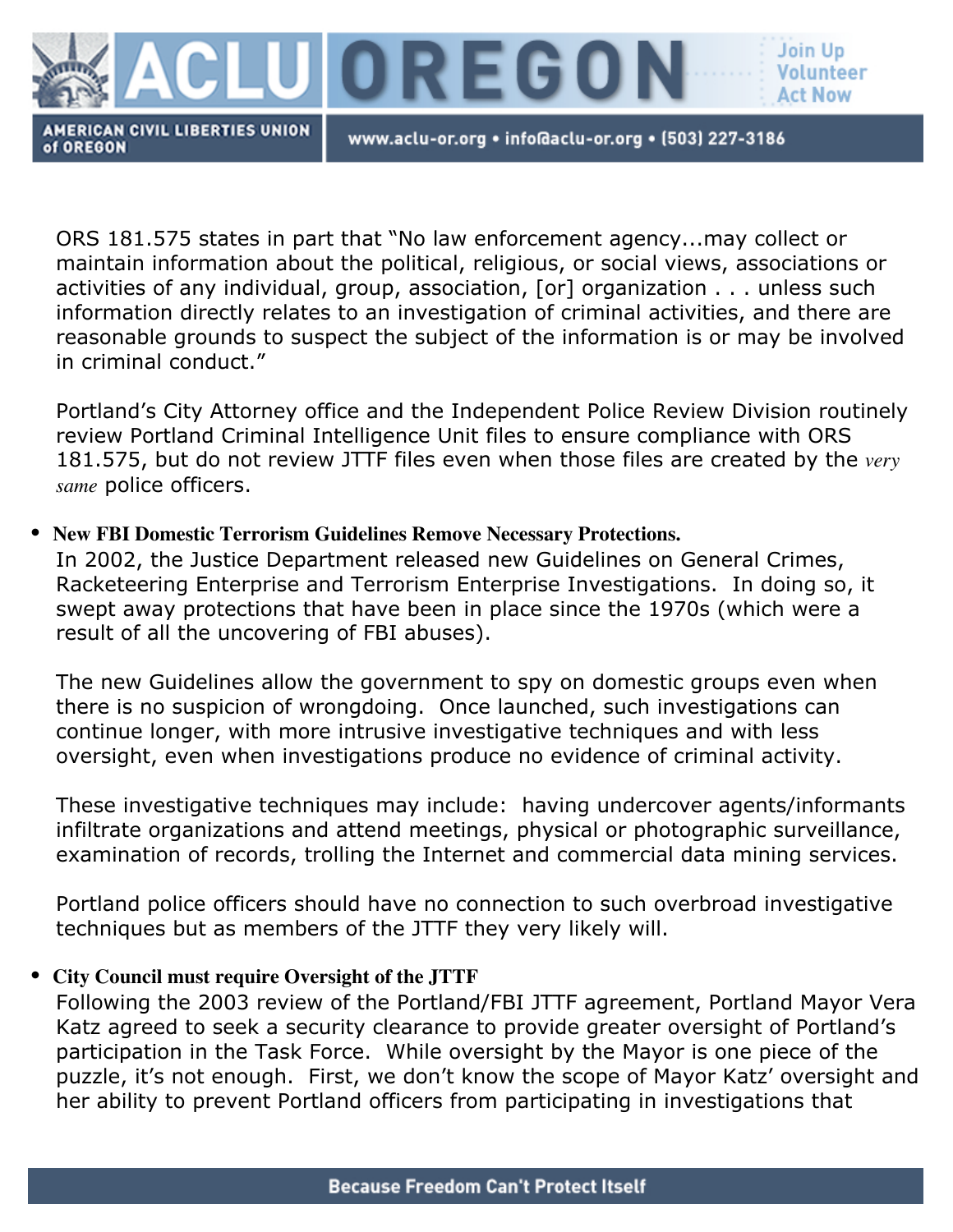

www.aclu-or.org • info@aclu-or.org • (503) 227-3186

ORS 181.575 states in part that "No law enforcement agency...may collect or maintain information about the political, religious, or social views, associations or activities of any individual, group, association, [or] organization . . . unless such information directly relates to an investigation of criminal activities, and there are reasonable grounds to suspect the subject of the information is or may be involved in criminal conduct."

Portland's City Attorney office and the Independent Police Review Division routinely review Portland Criminal Intelligence Unit files to ensure compliance with ORS 181.575, but do not review JTTF files even when those files are created by the *very same* police officers.

## • **New FBI Domestic Terrorism Guidelines Remove Necessary Protections.**

In 2002, the Justice Department released new Guidelines on General Crimes, Racketeering Enterprise and Terrorism Enterprise Investigations. In doing so, it swept away protections that have been in place since the 1970s (which were a result of all the uncovering of FBI abuses).

The new Guidelines allow the government to spy on domestic groups even when there is no suspicion of wrongdoing. Once launched, such investigations can continue longer, with more intrusive investigative techniques and with less oversight, even when investigations produce no evidence of criminal activity.

These investigative techniques may include: having undercover agents/informants infiltrate organizations and attend meetings, physical or photographic surveillance, examination of records, trolling the Internet and commercial data mining services.

Portland police officers should have no connection to such overbroad investigative techniques but as members of the JTTF they very likely will.

# • **City Council must require Oversight of the JTTF**

Following the 2003 review of the Portland/FBI JTTF agreement, Portland Mayor Vera Katz agreed to seek a security clearance to provide greater oversight of Portland's participation in the Task Force. While oversight by the Mayor is one piece of the puzzle, it's not enough. First, we don't know the scope of Mayor Katz' oversight and her ability to prevent Portland officers from participating in investigations that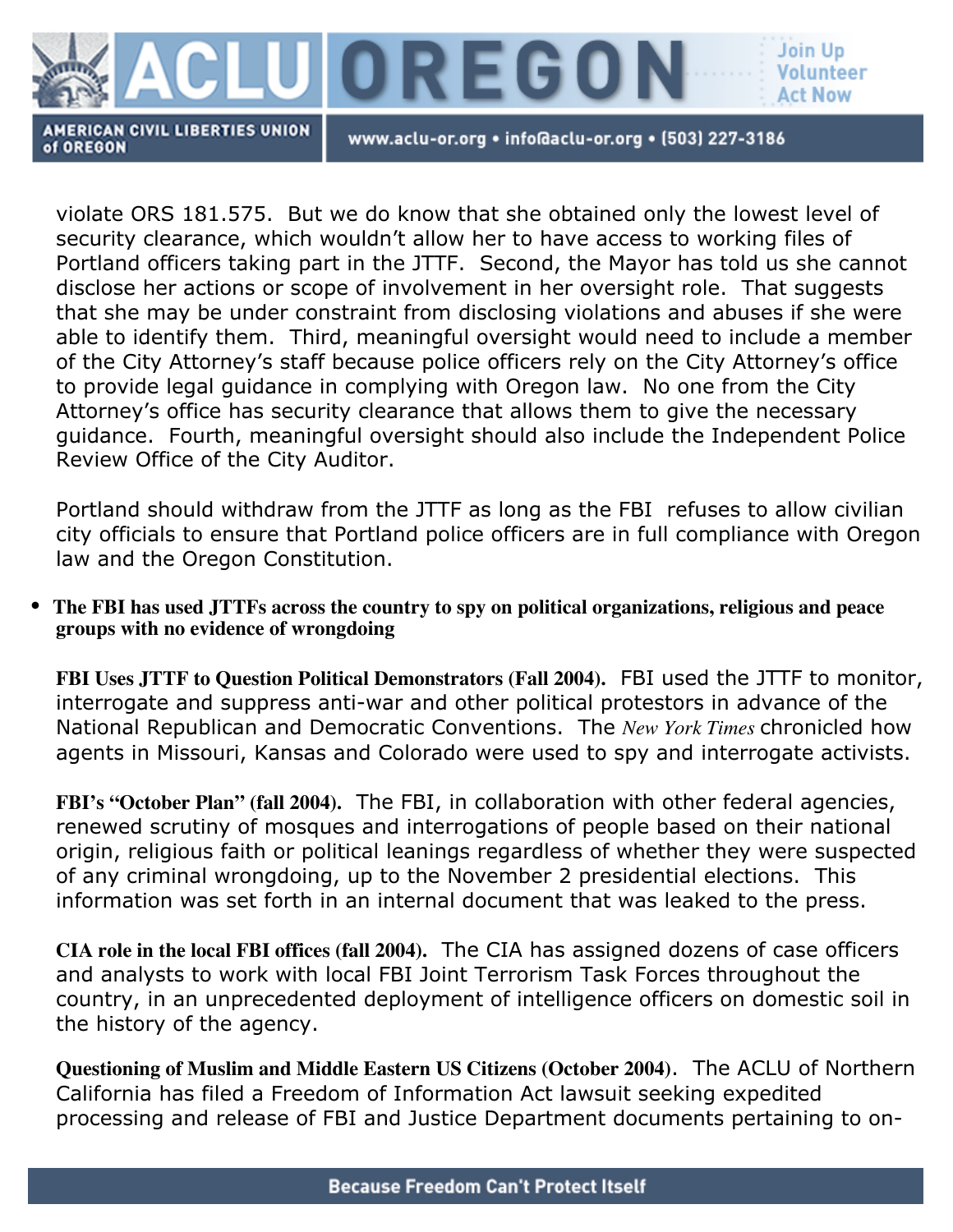

www.aclu-or.org • info@aclu-or.org • (503) 227-3186

violate ORS 181.575. But we do know that she obtained only the lowest level of security clearance, which wouldn't allow her to have access to working files of Portland officers taking part in the JTTF. Second, the Mayor has told us she cannot disclose her actions or scope of involvement in her oversight role. That suggests that she may be under constraint from disclosing violations and abuses if she were able to identify them. Third, meaningful oversight would need to include a member of the City Attorney's staff because police officers rely on the City Attorney's office to provide legal guidance in complying with Oregon law. No one from the City Attorney's office has security clearance that allows them to give the necessary guidance. Fourth, meaningful oversight should also include the Independent Police Review Office of the City Auditor.

Portland should withdraw from the JTTF as long as the FBI refuses to allow civilian city officials to ensure that Portland police officers are in full compliance with Oregon law and the Oregon Constitution.

• **The FBI has used JTTFs across the country to spy on political organizations, religious and peace groups with no evidence of wrongdoing**

**FBI Uses JTTF to Question Political Demonstrators (Fall 2004).** FBI used the JTTF to monitor, interrogate and suppress anti-war and other political protestors in advance of the National Republican and Democratic Conventions. The *New York Times* chronicled how agents in Missouri, Kansas and Colorado were used to spy and interrogate activists.

**FBI's "October Plan" (fall 2004).** The FBI, in collaboration with other federal agencies, renewed scrutiny of mosques and interrogations of people based on their national origin, religious faith or political leanings regardless of whether they were suspected of any criminal wrongdoing, up to the November 2 presidential elections. This information was set forth in an internal document that was leaked to the press.

**CIA role in the local FBI offices (fall 2004).** The CIA has assigned dozens of case officers and analysts to work with local FBI Joint Terrorism Task Forces throughout the country, in an unprecedented deployment of intelligence officers on domestic soil in the history of the agency.

**Questioning of Muslim and Middle Eastern US Citizens (October 2004)**. The ACLU of Northern California has filed a Freedom of Information Act lawsuit seeking expedited processing and release of FBI and Justice Department documents pertaining to on-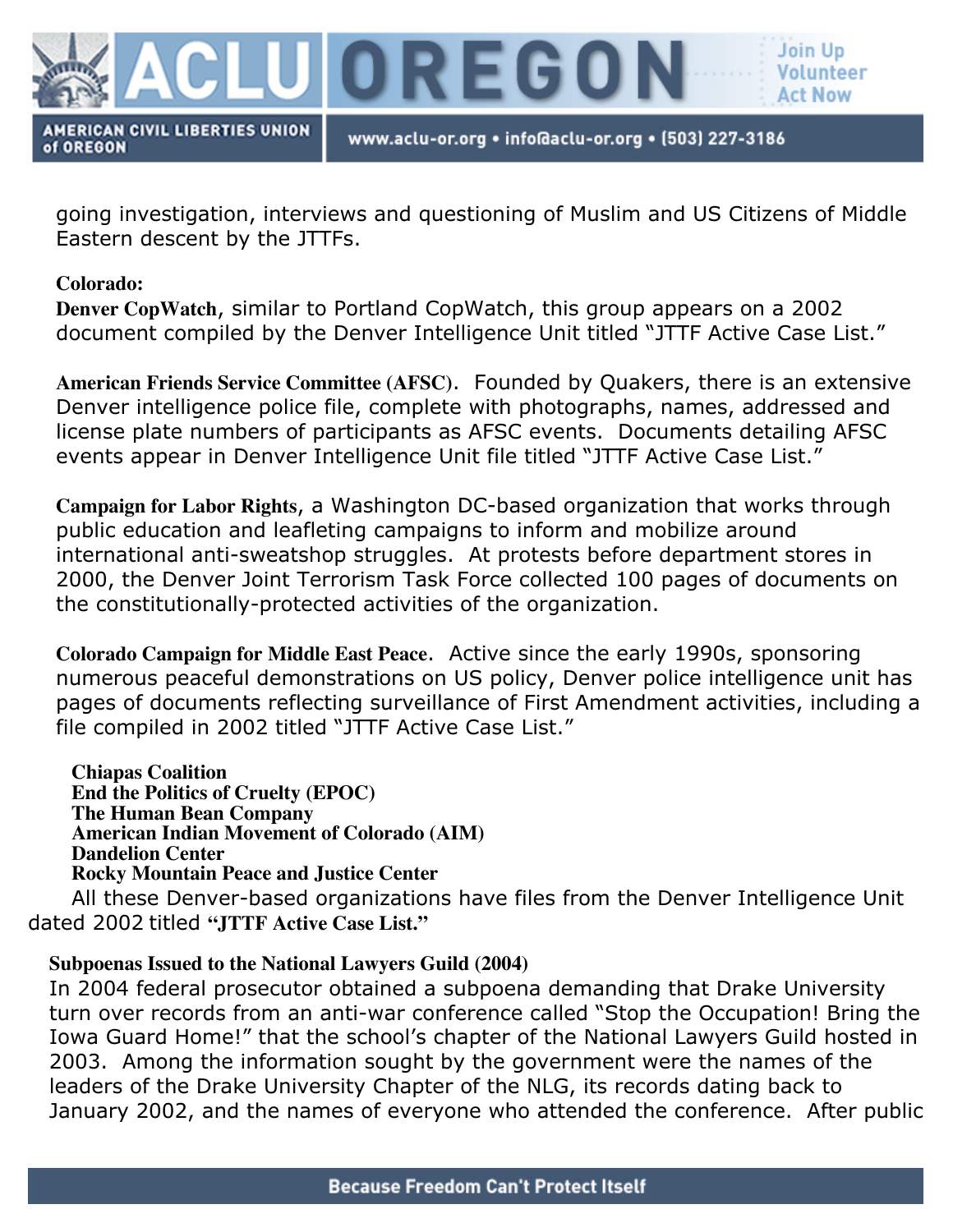

www.aclu-or.org • info@aclu-or.org • (503) 227-3186

going investigation, interviews and questioning of Muslim and US Citizens of Middle Eastern descent by the JTTFs.

### **Colorado:**

**Denver CopWatch**, similar to Portland CopWatch, this group appears on a 2002 document compiled by the Denver Intelligence Unit titled "JTTF Active Case List."

**American Friends Service Committee (AFSC)**. Founded by Quakers, there is an extensive Denver intelligence police file, complete with photographs, names, addressed and license plate numbers of participants as AFSC events. Documents detailing AFSC events appear in Denver Intelligence Unit file titled "JTTF Active Case List."

**Campaign for Labor Rights**, a Washington DC-based organization that works through public education and leafleting campaigns to inform and mobilize around international anti-sweatshop struggles. At protests before department stores in 2000, the Denver Joint Terrorism Task Force collected 100 pages of documents on the constitutionally-protected activities of the organization.

**Colorado Campaign for Middle East Peace**. Active since the early 1990s, sponsoring numerous peaceful demonstrations on US policy, Denver police intelligence unit has pages of documents reflecting surveillance of First Amendment activities, including a file compiled in 2002 titled "JTTF Active Case List."

**Chiapas Coalition End the Politics of Cruelty (EPOC) The Human Bean Company American Indian Movement of Colorado (AIM) Dandelion Center Rocky Mountain Peace and Justice Center**

All these Denver-based organizations have files from the Denver Intelligence Unit dated 2002 titled **"JTTF Active Case List."**

## **Subpoenas Issued to the National Lawyers Guild (2004)**

In 2004 federal prosecutor obtained a subpoena demanding that Drake University turn over records from an anti-war conference called "Stop the Occupation! Bring the Iowa Guard Home!" that the school's chapter of the National Lawyers Guild hosted in 2003. Among the information sought by the government were the names of the leaders of the Drake University Chapter of the NLG, its records dating back to January 2002, and the names of everyone who attended the conference. After public